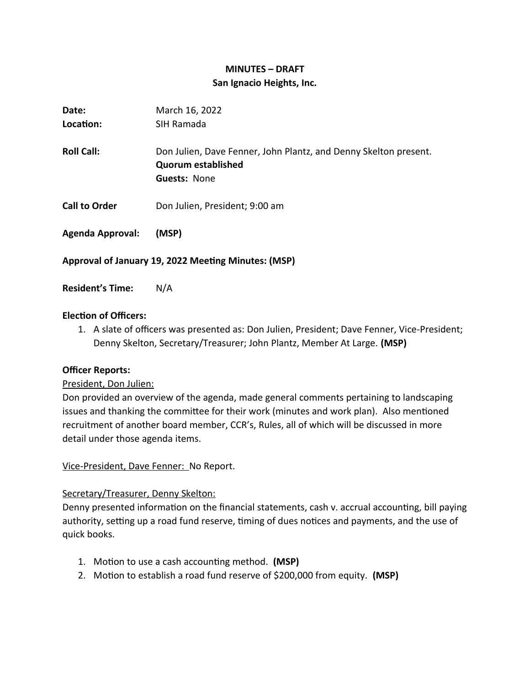# **MINUTES – DRAFT San Ignacio Heights, Inc.**

| Date:                                               | March 16, 2022                                                                                                       |
|-----------------------------------------------------|----------------------------------------------------------------------------------------------------------------------|
| Location:                                           | SIH Ramada                                                                                                           |
| <b>Roll Call:</b>                                   | Don Julien, Dave Fenner, John Plantz, and Denny Skelton present.<br><b>Quorum established</b><br><b>Guests: None</b> |
| <b>Call to Order</b>                                | Don Julien, President; 9:00 am                                                                                       |
| <b>Agenda Approval:</b>                             | (MSP)                                                                                                                |
| Approval of January 19, 2022 Meeting Minutes: (MSP) |                                                                                                                      |

**Resident's Time:** N/A

# **Election of Officers:**

1. A slate of officers was presented as: Don Julien, President; Dave Fenner, Vice-President; Denny Skelton, Secretary/Treasurer; John Plantz, Member At Large. **(MSP)**

# **Officer Reports:**

# President, Don Julien:

Don provided an overview of the agenda, made general comments pertaining to landscaping issues and thanking the committee for their work (minutes and work plan). Also mentioned recruitment of another board member, CCR's, Rules, all of which will be discussed in more detail under those agenda items.

Vice-President, Dave Fenner: No Report.

# Secretary/Treasurer, Denny Skelton:

Denny presented information on the financial statements, cash v. accrual accounting, bill paying authority, setting up a road fund reserve, timing of dues notices and payments, and the use of quick books.

- 1. Motion to use a cash accounting method. **(MSP)**
- 2. Motion to establish a road fund reserve of \$200,000 from equity. **(MSP)**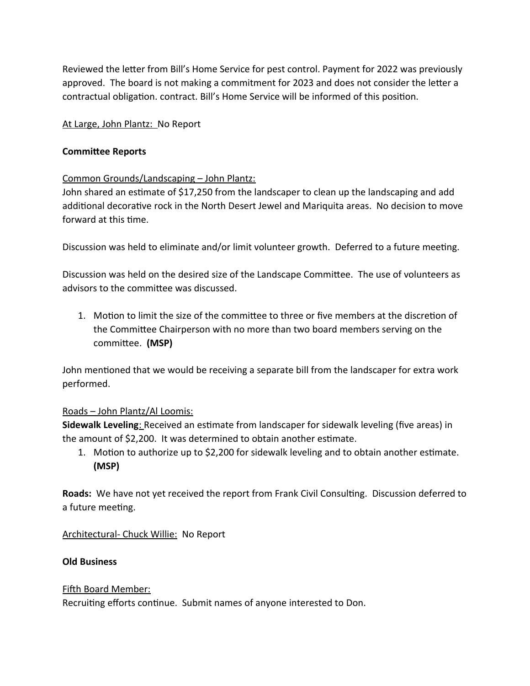Reviewed the letter from Bill's Home Service for pest control. Payment for 2022 was previously approved. The board is not making a commitment for 2023 and does not consider the letter a contractual obligation. contract. Bill's Home Service will be informed of this position.

### At Large, John Plantz: No Report

#### **Committee Reports**

#### Common Grounds/Landscaping – John Plantz:

John shared an estimate of \$17,250 from the landscaper to clean up the landscaping and add additional decorative rock in the North Desert Jewel and Mariquita areas. No decision to move forward at this time.

Discussion was held to eliminate and/or limit volunteer growth. Deferred to a future meeting.

Discussion was held on the desired size of the Landscape Committee. The use of volunteers as advisors to the committee was discussed.

1. Motion to limit the size of the committee to three or five members at the discretion of the Committee Chairperson with no more than two board members serving on the committee. **(MSP)**

John mentioned that we would be receiving a separate bill from the landscaper for extra work performed.

# Roads – John Plantz/Al Loomis:

**Sidewalk Leveling**: Received an estimate from landscaper for sidewalk leveling (five areas) in the amount of \$2,200. It was determined to obtain another estimate.

1. Motion to authorize up to \$2,200 for sidewalk leveling and to obtain another estimate. **(MSP)**

**Roads:** We have not yet received the report from Frank Civil Consulting. Discussion deferred to a future meeting.

Architectural- Chuck Willie: No Report

#### **Old Business**

Fifth Board Member: Recruiting efforts continue. Submit names of anyone interested to Don.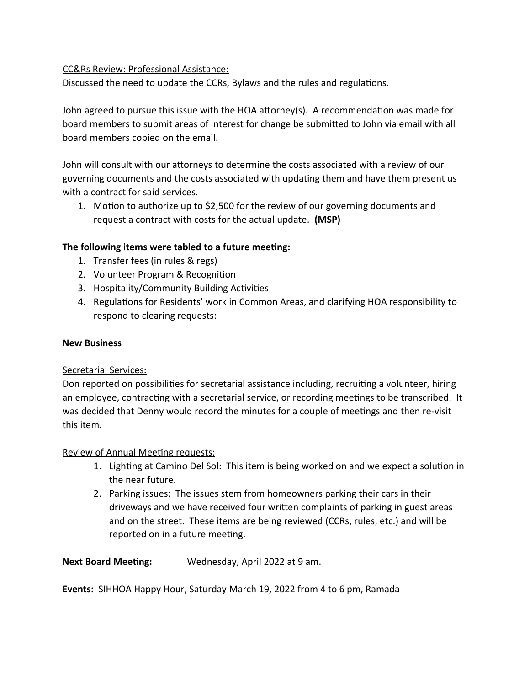### CC&Rs Review: Professional Assistance:

Discussed the need to update the CCRs, Bylaws and the rules and regulations.

John agreed to pursue this issue with the HOA attorney(s). A recommendation was made for board members to submit areas of interest for change be submitted to John via email with all board members copied on the email.

John will consult with our attorneys to determine the costs associated with a review of our governing documents and the costs associated with updating them and have them present us with a contract for said services.

1. Motion to authorize up to \$2,500 for the review of our governing documents and request a contract with costs for the actual update. **(MSP)**

# **The following items were tabled to a future meeting:**

- 1. Transfer fees (in rules & regs)
- 2. Volunteer Program & Recognition
- 3. Hospitality/Community Building Activities
- 4. Regulations for Residents' work in Common Areas, and clarifying HOA responsibility to respond to clearing requests:

#### **New Business**

#### Secretarial Services:

Don reported on possibilities for secretarial assistance including, recruiting a volunteer, hiring an employee, contracting with a secretarial service, or recording meetings to be transcribed. It was decided that Denny would record the minutes for a couple of meetings and then re-visit this item.

#### Review of Annual Meeting requests:

- 1. Lighting at Camino Del Sol: This item is being worked on and we expect a solution in the near future.
- 2. Parking issues: The issues stem from homeowners parking their cars in their driveways and we have received four written complaints of parking in guest areas and on the street. These items are being reviewed (CCRs, rules, etc.) and will be reported on in a future meeting.

**Next Board Meeting:** Wednesday, April 2022 at 9 am.

**Events:** SIHHOA Happy Hour, Saturday March 19, 2022 from 4 to 6 pm, Ramada